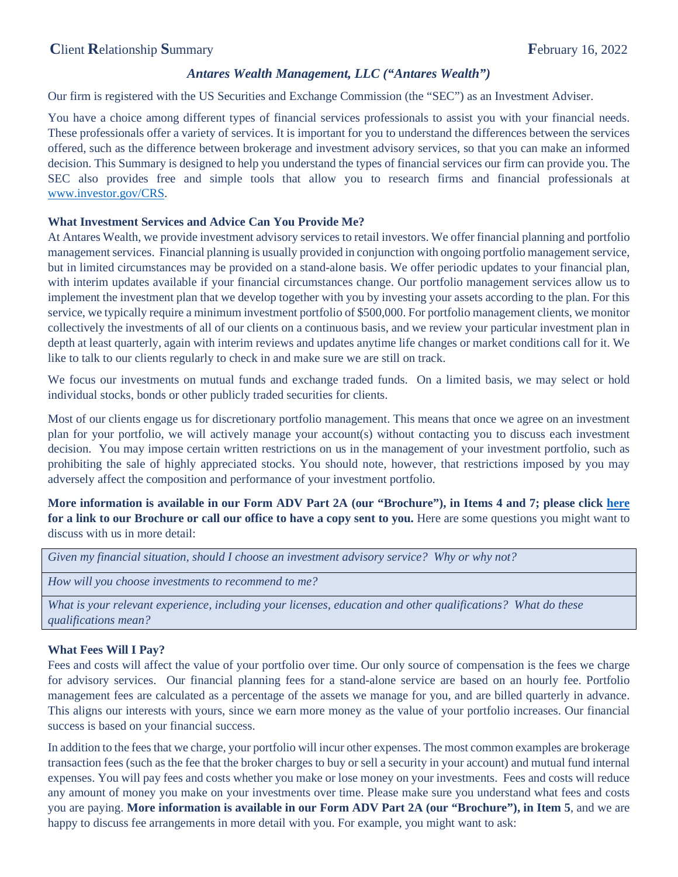# *Antares Wealth Management, LLC ("Antares Wealth")*

Our firm is registered with the US Securities and Exchange Commission (the "SEC") as an Investment Adviser.

You have a choice among different types of financial services professionals to assist you with your financial needs. These professionals offer a variety of services. It is important for you to understand the differences between the services offered, such as the difference between brokerage and investment advisory services, so that you can make an informed decision. This Summary is designed to help you understand the types of financial services our firm can provide you. The SEC also provides free and simple tools that allow you to research firms and financial professionals at [www.investor.gov/CRS.](http://www.investor.gov/CRS)

## **What Investment Services and Advice Can You Provide Me?**

At Antares Wealth, we provide investment advisory services to retail investors. We offer financial planning and portfolio management services. Financial planning is usually provided in conjunction with ongoing portfolio management service, but in limited circumstances may be provided on a stand-alone basis. We offer periodic updates to your financial plan, with interim updates available if your financial circumstances change. Our portfolio management services allow us to implement the investment plan that we develop together with you by investing your assets according to the plan. For this service, we typically require a minimum investment portfolio of \$500,000. For portfolio management clients, we monitor collectively the investments of all of our clients on a continuous basis, and we review your particular investment plan in depth at least quarterly, again with interim reviews and updates anytime life changes or market conditions call for it. We like to talk to our clients regularly to check in and make sure we are still on track.

We focus our investments on mutual funds and exchange traded funds. On a limited basis, we may select or hold individual stocks, bonds or other publicly traded securities for clients.

Most of our clients engage us for discretionary portfolio management. This means that once we agree on an investment plan for your portfolio, we will actively manage your account(s) without contacting you to discuss each investment decision. You may impose certain written restrictions on us in the management of your investment portfolio, such as prohibiting the sale of highly appreciated stocks. You should note, however, that restrictions imposed by you may adversely affect the composition and performance of your investment portfolio.

**More information is available in our Form ADV Part 2A (our "Brochure"), in Items 4 and 7; please click [here](https://adviserinfo.sec.gov/firm/summary/305732)  for a link to our Brochure or call our office to have a copy sent to you.** Here are some questions you might want to discuss with us in more detail:

|  |  | Given my financial situation, should I choose an investment advisory service? Why or why not? |  |
|--|--|-----------------------------------------------------------------------------------------------|--|
|  |  |                                                                                               |  |

```
How will you choose investments to recommend to me?
```
*What is your relevant experience, including your licenses, education and other qualifications? What do these qualifications mean?*

### **What Fees Will I Pay?**

Fees and costs will affect the value of your portfolio over time. Our only source of compensation is the fees we charge for advisory services. Our financial planning fees for a stand-alone service are based on an hourly fee. Portfolio management fees are calculated as a percentage of the assets we manage for you, and are billed quarterly in advance. This aligns our interests with yours, since we earn more money as the value of your portfolio increases. Our financial success is based on your financial success.

In addition to the fees that we charge, your portfolio will incur other expenses. The most common examples are brokerage transaction fees (such as the fee that the broker charges to buy or sell a security in your account) and mutual fund internal expenses. You will pay fees and costs whether you make or lose money on your investments. Fees and costs will reduce any amount of money you make on your investments over time. Please make sure you understand what fees and costs you are paying. **More information is available in our Form ADV Part 2A (our "Brochure"), in Item 5**, and we are happy to discuss fee arrangements in more detail with you. For example, you might want to ask: